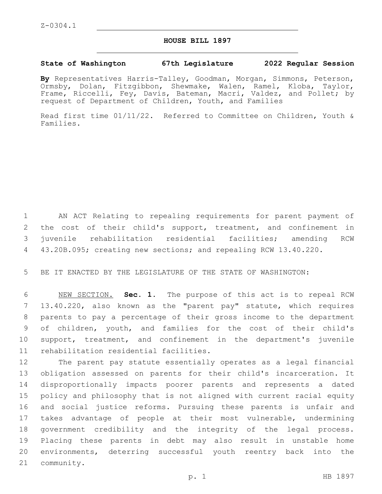## **HOUSE BILL 1897**

## **State of Washington 67th Legislature 2022 Regular Session**

**By** Representatives Harris-Talley, Goodman, Morgan, Simmons, Peterson, Ormsby, Dolan, Fitzgibbon, Shewmake, Walen, Ramel, Kloba, Taylor, Frame, Riccelli, Fey, Davis, Bateman, Macri, Valdez, and Pollet; by request of Department of Children, Youth, and Families

Read first time 01/11/22. Referred to Committee on Children, Youth & Families.

 AN ACT Relating to repealing requirements for parent payment of the cost of their child's support, treatment, and confinement in juvenile rehabilitation residential facilities; amending RCW 43.20B.095; creating new sections; and repealing RCW 13.40.220.

BE IT ENACTED BY THE LEGISLATURE OF THE STATE OF WASHINGTON:

 NEW SECTION. **Sec. 1.** The purpose of this act is to repeal RCW 13.40.220, also known as the "parent pay" statute, which requires parents to pay a percentage of their gross income to the department of children, youth, and families for the cost of their child's support, treatment, and confinement in the department's juvenile rehabilitation residential facilities.

 The parent pay statute essentially operates as a legal financial obligation assessed on parents for their child's incarceration. It disproportionally impacts poorer parents and represents a dated policy and philosophy that is not aligned with current racial equity and social justice reforms. Pursuing these parents is unfair and takes advantage of people at their most vulnerable, undermining government credibility and the integrity of the legal process. Placing these parents in debt may also result in unstable home environments, deterring successful youth reentry back into the 21 community.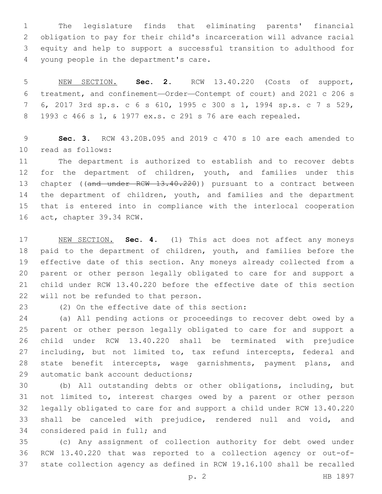The legislature finds that eliminating parents' financial obligation to pay for their child's incarceration will advance racial equity and help to support a successful transition to adulthood for 4 young people in the department's care.

 NEW SECTION. **Sec. 2.** RCW 13.40.220 (Costs of support, treatment, and confinement—Order—Contempt of court) and 2021 c 206 s 6, 2017 3rd sp.s. c 6 s 610, 1995 c 300 s 1, 1994 sp.s. c 7 s 529, 1993 c 466 s 1, & 1977 ex.s. c 291 s 76 are each repealed.

 **Sec. 3.** RCW 43.20B.095 and 2019 c 470 s 10 are each amended to read as follows:10

 The department is authorized to establish and to recover debts for the department of children, youth, and families under this 13 chapter ((and under RCW 13.40.220)) pursuant to a contract between the department of children, youth, and families and the department that is entered into in compliance with the interlocal cooperation 16 act, chapter 39.34 RCW.

 NEW SECTION. **Sec. 4.** (1) This act does not affect any moneys paid to the department of children, youth, and families before the effective date of this section. Any moneys already collected from a parent or other person legally obligated to care for and support a child under RCW 13.40.220 before the effective date of this section will not be refunded to that person.

(2) On the effective date of this section:23

 (a) All pending actions or proceedings to recover debt owed by a parent or other person legally obligated to care for and support a child under RCW 13.40.220 shall be terminated with prejudice including, but not limited to, tax refund intercepts, federal and state benefit intercepts, wage garnishments, payment plans, and 29 automatic bank account deductions;

 (b) All outstanding debts or other obligations, including, but not limited to, interest charges owed by a parent or other person legally obligated to care for and support a child under RCW 13.40.220 shall be canceled with prejudice, rendered null and void, and 34 considered paid in full; and

 (c) Any assignment of collection authority for debt owed under RCW 13.40.220 that was reported to a collection agency or out-of-state collection agency as defined in RCW 19.16.100 shall be recalled